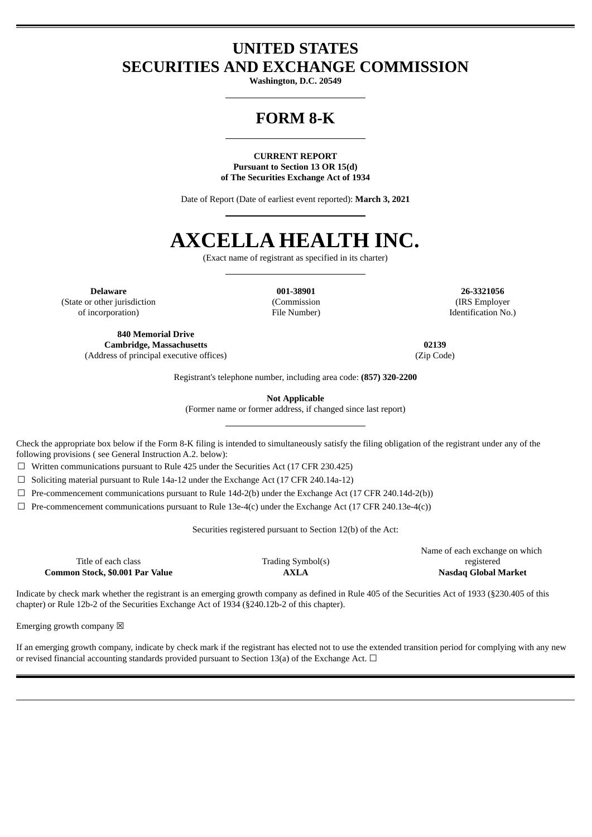# **UNITED STATES SECURITIES AND EXCHANGE COMMISSION**

**Washington, D.C. 20549**

# **FORM 8-K**

**CURRENT REPORT Pursuant to Section 13 OR 15(d) of The Securities Exchange Act of 1934**

Date of Report (Date of earliest event reported): **March 3, 2021**

# **AXCELLA HEALTH INC.**

(Exact name of registrant as specified in its charter)

**Delaware 001-38901 26-3321056** (State or other jurisdiction of incorporation)

(Commission File Number)

(IRS Employer Identification No.)

**840 Memorial Drive Cambridge, Massachusetts 02139** (Address of principal executive offices) (Zip Code)

Registrant's telephone number, including area code: **(857) 320-2200**

**Not Applicable**

(Former name or former address, if changed since last report)

Check the appropriate box below if the Form 8-K filing is intended to simultaneously satisfy the filing obligation of the registrant under any of the following provisions ( see General Instruction A.2. below):

 $\Box$  Written communications pursuant to Rule 425 under the Securities Act (17 CFR 230.425)

 $\Box$  Soliciting material pursuant to Rule 14a-12 under the Exchange Act (17 CFR 240.14a-12)

☐ Pre-commencement communications pursuant to Rule 14d-2(b) under the Exchange Act (17 CFR 240.14d-2(b))

 $\Box$  Pre-commencement communications pursuant to Rule 13e-4(c) under the Exchange Act (17 CFR 240.13e-4(c))

Securities registered pursuant to Section 12(b) of the Act:

Title of each class Trading Symbol(s) **Common Stock, \$0.001 Par Value AXLA Nasdaq Global Market**

Name of each exchange on which registered

Indicate by check mark whether the registrant is an emerging growth company as defined in Rule 405 of the Securities Act of 1933 (§230.405 of this chapter) or Rule 12b-2 of the Securities Exchange Act of 1934 (§240.12b-2 of this chapter).

Emerging growth company  $\boxtimes$ 

If an emerging growth company, indicate by check mark if the registrant has elected not to use the extended transition period for complying with any new or revised financial accounting standards provided pursuant to Section 13(a) of the Exchange Act.  $\Box$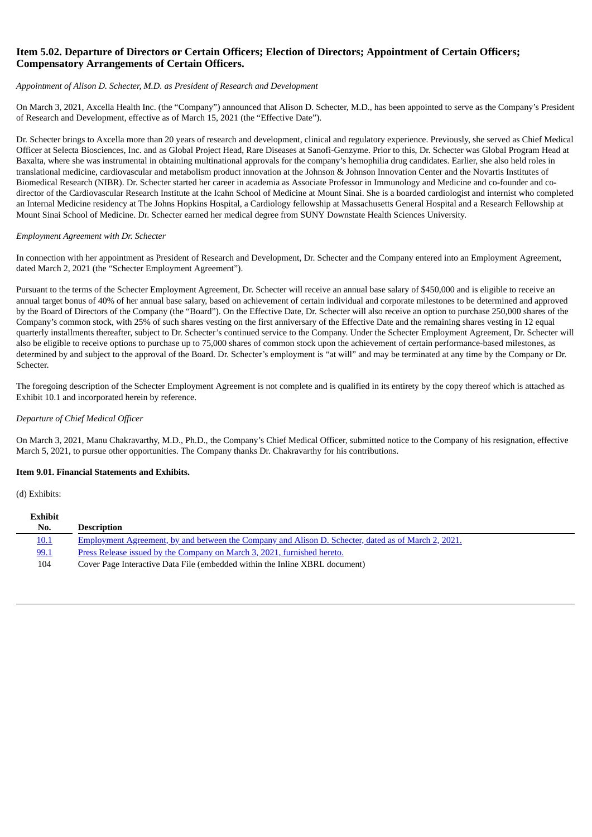## **Item 5.02. Departure of Directors or Certain Officers; Election of Directors; Appointment of Certain Officers; Compensatory Arrangements of Certain Officers.**

#### *Appointment of Alison D. Schecter, M.D. as President of Research and Development*

On March 3, 2021, Axcella Health Inc. (the "Company") announced that Alison D. Schecter, M.D., has been appointed to serve as the Company's President of Research and Development, effective as of March 15, 2021 (the "Effective Date").

Dr. Schecter brings to Axcella more than 20 years of research and development, clinical and regulatory experience. Previously, she served as Chief Medical Officer at Selecta Biosciences, Inc. and as Global Project Head, Rare Diseases at Sanofi-Genzyme. Prior to this, Dr. Schecter was Global Program Head at Baxalta, where she was instrumental in obtaining multinational approvals for the company's hemophilia drug candidates. Earlier, she also held roles in translational medicine, cardiovascular and metabolism product innovation at the Johnson & Johnson Innovation Center and the Novartis Institutes of Biomedical Research (NIBR). Dr. Schecter started her career in academia as Associate Professor in Immunology and Medicine and co-founder and codirector of the Cardiovascular Research Institute at the Icahn School of Medicine at Mount Sinai. She is a boarded cardiologist and internist who completed an Internal Medicine residency at The Johns Hopkins Hospital, a Cardiology fellowship at Massachusetts General Hospital and a Research Fellowship at Mount Sinai School of Medicine. Dr. Schecter earned her medical degree from SUNY Downstate Health Sciences University.

#### *Employment Agreement with Dr. Schecter*

In connection with her appointment as President of Research and Development, Dr. Schecter and the Company entered into an Employment Agreement, dated March 2, 2021 (the "Schecter Employment Agreement").

Pursuant to the terms of the Schecter Employment Agreement, Dr. Schecter will receive an annual base salary of \$450,000 and is eligible to receive an annual target bonus of 40% of her annual base salary, based on achievement of certain individual and corporate milestones to be determined and approved by the Board of Directors of the Company (the "Board"). On the Effective Date, Dr. Schecter will also receive an option to purchase 250,000 shares of the Company's common stock, with 25% of such shares vesting on the first anniversary of the Effective Date and the remaining shares vesting in 12 equal quarterly installments thereafter, subject to Dr. Schecter's continued service to the Company. Under the Schecter Employment Agreement, Dr. Schecter will also be eligible to receive options to purchase up to 75,000 shares of common stock upon the achievement of certain performance-based milestones, as determined by and subject to the approval of the Board. Dr. Schecter's employment is "at will" and may be terminated at any time by the Company or Dr. Schecter.

The foregoing description of the Schecter Employment Agreement is not complete and is qualified in its entirety by the copy thereof which is attached as Exhibit 10.1 and incorporated herein by reference.

#### *Departure of Chief Medical Officer*

On March 3, 2021, Manu Chakravarthy, M.D., Ph.D., the Company's Chief Medical Officer, submitted notice to the Company of his resignation, effective March 5, 2021, to pursue other opportunities. The Company thanks Dr. Chakravarthy for his contributions.

#### **Item 9.01. Financial Statements and Exhibits.**

(d) Exhibits:

| <b>Exhibit</b> |                                                                                                     |
|----------------|-----------------------------------------------------------------------------------------------------|
| No.            | <b>Description</b>                                                                                  |
| <u>10.1</u>    | Employment Agreement, by and between the Company and Alison D. Schecter, dated as of March 2, 2021. |
| 99.1           | <u>Press Release issued by the Company on March 3, 2021, furnished hereto.</u>                      |
| 104            | Cover Page Interactive Data File (embedded within the Inline XBRL document)                         |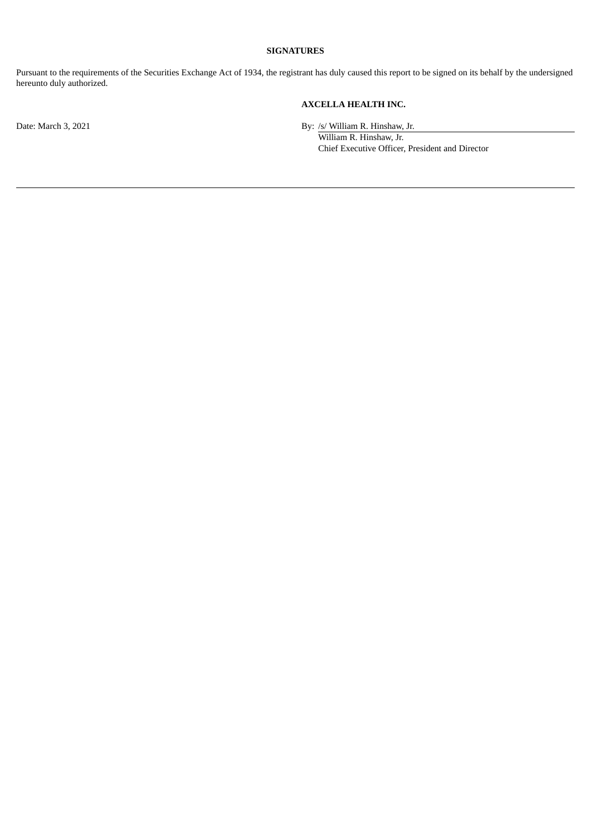### **SIGNATURES**

Pursuant to the requirements of the Securities Exchange Act of 1934, the registrant has duly caused this report to be signed on its behalf by the undersigned hereunto duly authorized.

# **AXCELLA HEALTH INC.**

Date: March 3, 2021 By: /s/ William R. Hinshaw, Jr.

William R. Hinshaw, Jr. Chief Executive Officer, President and Director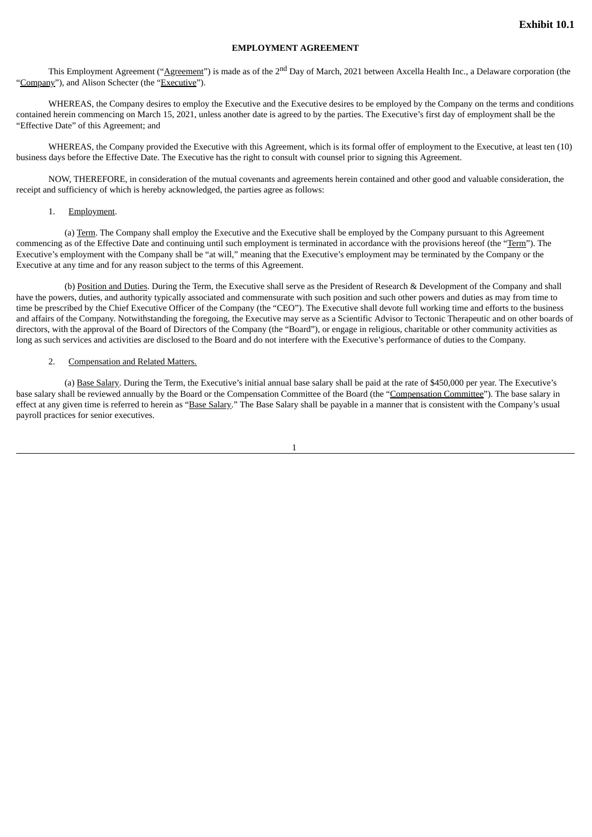#### **EMPLOYMENT AGREEMENT**

<span id="page-3-0"></span>This Employment Agreement ("<u>Agreement</u>") is made as of the 2<sup>nd</sup> Day of March, 2021 between Axcella Health Inc., a Delaware corporation (the "Company"), and Alison Schecter (the "Executive").

WHEREAS, the Company desires to employ the Executive and the Executive desires to be employed by the Company on the terms and conditions contained herein commencing on March 15, 2021, unless another date is agreed to by the parties. The Executive's first day of employment shall be the "Effective Date" of this Agreement; and

WHEREAS, the Company provided the Executive with this Agreement, which is its formal offer of employment to the Executive, at least ten (10) business days before the Effective Date. The Executive has the right to consult with counsel prior to signing this Agreement.

NOW, THEREFORE, in consideration of the mutual covenants and agreements herein contained and other good and valuable consideration, the receipt and sufficiency of which is hereby acknowledged, the parties agree as follows:

#### 1. Employment.

(a) Term. The Company shall employ the Executive and the Executive shall be employed by the Company pursuant to this Agreement commencing as of the Effective Date and continuing until such employment is terminated in accordance with the provisions hereof (the "Term"). The Executive's employment with the Company shall be "at will," meaning that the Executive's employment may be terminated by the Company or the Executive at any time and for any reason subject to the terms of this Agreement.

(b) Position and Duties. During the Term, the Executive shall serve as the President of Research & Development of the Company and shall have the powers, duties, and authority typically associated and commensurate with such position and such other powers and duties as may from time to time be prescribed by the Chief Executive Officer of the Company (the "CEO"). The Executive shall devote full working time and efforts to the business and affairs of the Company. Notwithstanding the foregoing, the Executive may serve as a Scientific Advisor to Tectonic Therapeutic and on other boards of directors, with the approval of the Board of Directors of the Company (the "Board"), or engage in religious, charitable or other community activities as long as such services and activities are disclosed to the Board and do not interfere with the Executive's performance of duties to the Company.

#### 2. Compensation and Related Matters.

(a) Base Salary. During the Term, the Executive's initial annual base salary shall be paid at the rate of \$450,000 per year. The Executive's base salary shall be reviewed annually by the Board or the Compensation Committee of the Board (the "Compensation Committee"). The base salary in effect at any given time is referred to herein as "Base Salary." The Base Salary shall be payable in a manner that is consistent with the Company's usual payroll practices for senior executives.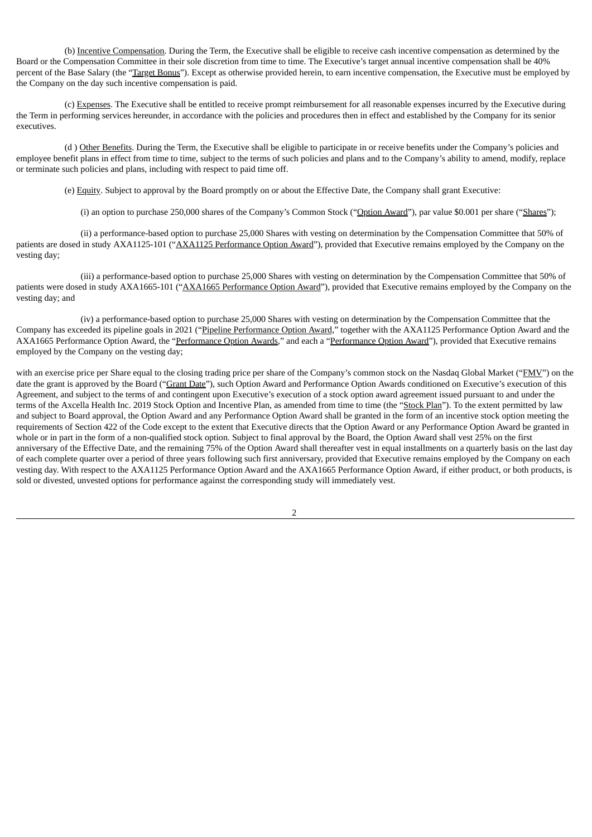(b) Incentive Compensation. During the Term, the Executive shall be eligible to receive cash incentive compensation as determined by the Board or the Compensation Committee in their sole discretion from time to time. The Executive's target annual incentive compensation shall be 40% percent of the Base Salary (the "Target Bonus"). Except as otherwise provided herein, to earn incentive compensation, the Executive must be employed by the Company on the day such incentive compensation is paid.

(c) Expenses. The Executive shall be entitled to receive prompt reimbursement for all reasonable expenses incurred by the Executive during the Term in performing services hereunder, in accordance with the policies and procedures then in effect and established by the Company for its senior executives.

(d ) Other Benefits. During the Term, the Executive shall be eligible to participate in or receive benefits under the Company's policies and employee benefit plans in effect from time to time, subject to the terms of such policies and plans and to the Company's ability to amend, modify, replace or terminate such policies and plans, including with respect to paid time off.

(e) Equity. Subject to approval by the Board promptly on or about the Effective Date, the Company shall grant Executive:

(i) an option to purchase 250,000 shares of the Company's Common Stock ("Option Award"), par value \$0.001 per share ("Shares");

(ii) a performance-based option to purchase 25,000 Shares with vesting on determination by the Compensation Committee that 50% of patients are dosed in study AXA1125-101 ("AXA1125 Performance Option Award"), provided that Executive remains employed by the Company on the vesting day;

(iii) a performance-based option to purchase 25,000 Shares with vesting on determination by the Compensation Committee that 50% of patients were dosed in study AXA1665-101 ("AXA1665 Performance Option Award"), provided that Executive remains employed by the Company on the vesting day; and

(iv) a performance-based option to purchase 25,000 Shares with vesting on determination by the Compensation Committee that the Company has exceeded its pipeline goals in 2021 ("Pipeline Performance Option Award," together with the AXA1125 Performance Option Award and the AXA1665 Performance Option Award, the "Performance Option Awards," and each a "Performance Option Award"), provided that Executive remains employed by the Company on the vesting day;

with an exercise price per Share equal to the closing trading price per share of the Company's common stock on the Nasdaq Global Market ("FMV") on the date the grant is approved by the Board ("Grant Date"), such Option Award and Performance Option Awards conditioned on Executive's execution of this Agreement, and subject to the terms of and contingent upon Executive's execution of a stock option award agreement issued pursuant to and under the terms of the Axcella Health Inc. 2019 Stock Option and Incentive Plan, as amended from time to time (the "Stock Plan"). To the extent permitted by law and subject to Board approval, the Option Award and any Performance Option Award shall be granted in the form of an incentive stock option meeting the requirements of Section 422 of the Code except to the extent that Executive directs that the Option Award or any Performance Option Award be granted in whole or in part in the form of a non-qualified stock option. Subject to final approval by the Board, the Option Award shall vest 25% on the first anniversary of the Effective Date, and the remaining 75% of the Option Award shall thereafter vest in equal installments on a quarterly basis on the last day of each complete quarter over a period of three years following such first anniversary, provided that Executive remains employed by the Company on each vesting day. With respect to the AXA1125 Performance Option Award and the AXA1665 Performance Option Award, if either product, or both products, is sold or divested, unvested options for performance against the corresponding study will immediately vest.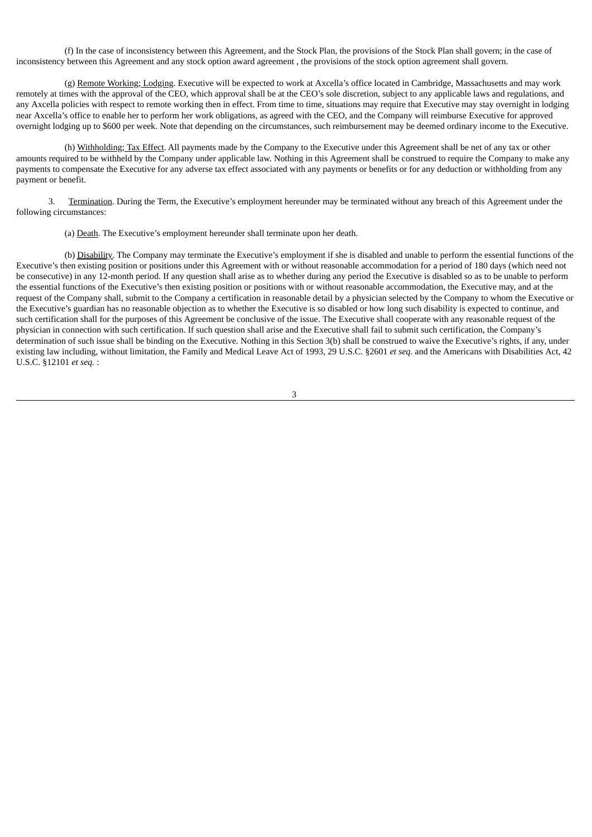(f) In the case of inconsistency between this Agreement, and the Stock Plan, the provisions of the Stock Plan shall govern; in the case of inconsistency between this Agreement and any stock option award agreement , the provisions of the stock option agreement shall govern.

(g) Remote Working; Lodging. Executive will be expected to work at Axcella's office located in Cambridge, Massachusetts and may work remotely at times with the approval of the CEO, which approval shall be at the CEO's sole discretion, subject to any applicable laws and regulations, and any Axcella policies with respect to remote working then in effect. From time to time, situations may require that Executive may stay overnight in lodging near Axcella's office to enable her to perform her work obligations, as agreed with the CEO, and the Company will reimburse Executive for approved overnight lodging up to \$600 per week. Note that depending on the circumstances, such reimbursement may be deemed ordinary income to the Executive.

(h) Withholding; Tax Effect. All payments made by the Company to the Executive under this Agreement shall be net of any tax or other amounts required to be withheld by the Company under applicable law. Nothing in this Agreement shall be construed to require the Company to make any payments to compensate the Executive for any adverse tax effect associated with any payments or benefits or for any deduction or withholding from any payment or benefit.

3. Termination. During the Term, the Executive's employment hereunder may be terminated without any breach of this Agreement under the following circumstances:

(a) Death. The Executive's employment hereunder shall terminate upon her death.

(b) Disability. The Company may terminate the Executive's employment if she is disabled and unable to perform the essential functions of the Executive's then existing position or positions under this Agreement with or without reasonable accommodation for a period of 180 days (which need not be consecutive) in any 12-month period. If any question shall arise as to whether during any period the Executive is disabled so as to be unable to perform the essential functions of the Executive's then existing position or positions with or without reasonable accommodation, the Executive may, and at the request of the Company shall, submit to the Company a certification in reasonable detail by a physician selected by the Company to whom the Executive or the Executive's guardian has no reasonable objection as to whether the Executive is so disabled or how long such disability is expected to continue, and such certification shall for the purposes of this Agreement be conclusive of the issue. The Executive shall cooperate with any reasonable request of the physician in connection with such certification. If such question shall arise and the Executive shall fail to submit such certification, the Company's determination of such issue shall be binding on the Executive. Nothing in this Section 3(b) shall be construed to waive the Executive's rights, if any, under existing law including, without limitation, the Family and Medical Leave Act of 1993, 29 U.S.C. §2601 *et seq*. and the Americans with Disabilities Act, 42 U.S.C. §12101 *et seq.* :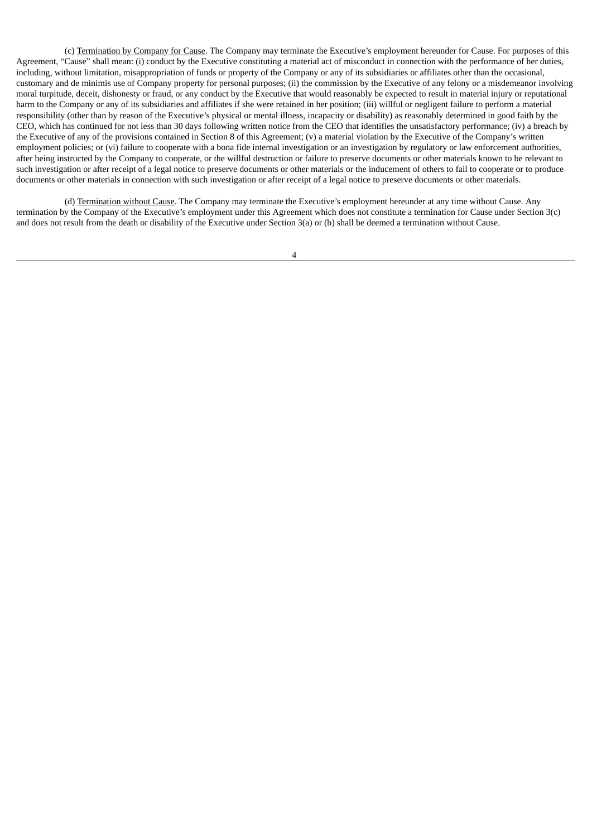(c) Termination by Company for Cause. The Company may terminate the Executive's employment hereunder for Cause. For purposes of this Agreement, "Cause" shall mean: (i) conduct by the Executive constituting a material act of misconduct in connection with the performance of her duties, including, without limitation, misappropriation of funds or property of the Company or any of its subsidiaries or affiliates other than the occasional, customary and de minimis use of Company property for personal purposes; (ii) the commission by the Executive of any felony or a misdemeanor involving moral turpitude, deceit, dishonesty or fraud, or any conduct by the Executive that would reasonably be expected to result in material injury or reputational harm to the Company or any of its subsidiaries and affiliates if she were retained in her position; (iii) willful or negligent failure to perform a material responsibility (other than by reason of the Executive's physical or mental illness, incapacity or disability) as reasonably determined in good faith by the CEO, which has continued for not less than 30 days following written notice from the CEO that identifies the unsatisfactory performance; (iv) a breach by the Executive of any of the provisions contained in Section 8 of this Agreement; (v) a material violation by the Executive of the Company's written employment policies; or (vi) failure to cooperate with a bona fide internal investigation or an investigation by regulatory or law enforcement authorities, after being instructed by the Company to cooperate, or the willful destruction or failure to preserve documents or other materials known to be relevant to such investigation or after receipt of a legal notice to preserve documents or other materials or the inducement of others to fail to cooperate or to produce documents or other materials in connection with such investigation or after receipt of a legal notice to preserve documents or other materials.

(d) Termination without Cause. The Company may terminate the Executive's employment hereunder at any time without Cause. Any termination by the Company of the Executive's employment under this Agreement which does not constitute a termination for Cause under Section 3(c) and does not result from the death or disability of the Executive under Section 3(a) or (b) shall be deemed a termination without Cause.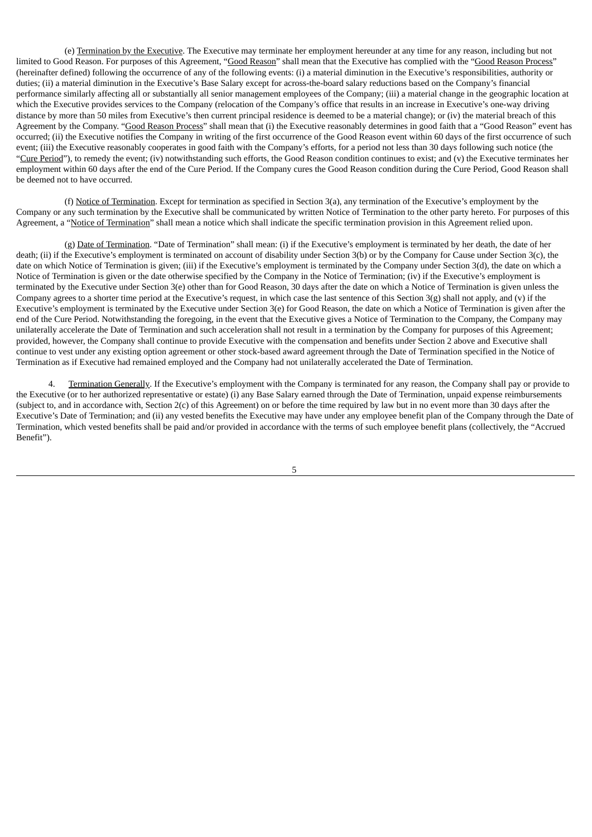(e) Termination by the Executive. The Executive may terminate her employment hereunder at any time for any reason, including but not limited to Good Reason. For purposes of this Agreement, "Good Reason" shall mean that the Executive has complied with the "Good Reason Process" (hereinafter defined) following the occurrence of any of the following events: (i) a material diminution in the Executive's responsibilities, authority or duties; (ii) a material diminution in the Executive's Base Salary except for across-the-board salary reductions based on the Company's financial performance similarly affecting all or substantially all senior management employees of the Company; (iii) a material change in the geographic location at which the Executive provides services to the Company (relocation of the Company's office that results in an increase in Executive's one-way driving distance by more than 50 miles from Executive's then current principal residence is deemed to be a material change); or (iv) the material breach of this Agreement by the Company. "Good Reason Process" shall mean that (i) the Executive reasonably determines in good faith that a "Good Reason" event has occurred; (ii) the Executive notifies the Company in writing of the first occurrence of the Good Reason event within 60 days of the first occurrence of such event; (iii) the Executive reasonably cooperates in good faith with the Company's efforts, for a period not less than 30 days following such notice (the "Cure Period"), to remedy the event; (iv) notwithstanding such efforts, the Good Reason condition continues to exist; and (v) the Executive terminates her employment within 60 days after the end of the Cure Period. If the Company cures the Good Reason condition during the Cure Period, Good Reason shall be deemed not to have occurred.

(f) Notice of Termination. Except for termination as specified in Section 3(a), any termination of the Executive's employment by the Company or any such termination by the Executive shall be communicated by written Notice of Termination to the other party hereto. For purposes of this Agreement, a "Notice of Termination" shall mean a notice which shall indicate the specific termination provision in this Agreement relied upon.

(g) Date of Termination. "Date of Termination" shall mean: (i) if the Executive's employment is terminated by her death, the date of her death; (ii) if the Executive's employment is terminated on account of disability under Section 3(b) or by the Company for Cause under Section 3(c), the date on which Notice of Termination is given; (iii) if the Executive's employment is terminated by the Company under Section 3(d), the date on which a Notice of Termination is given or the date otherwise specified by the Company in the Notice of Termination; (iv) if the Executive's employment is terminated by the Executive under Section 3(e) other than for Good Reason, 30 days after the date on which a Notice of Termination is given unless the Company agrees to a shorter time period at the Executive's request, in which case the last sentence of this Section 3(g) shall not apply, and (v) if the Executive's employment is terminated by the Executive under Section 3(e) for Good Reason, the date on which a Notice of Termination is given after the end of the Cure Period. Notwithstanding the foregoing, in the event that the Executive gives a Notice of Termination to the Company, the Company may unilaterally accelerate the Date of Termination and such acceleration shall not result in a termination by the Company for purposes of this Agreement; provided, however, the Company shall continue to provide Executive with the compensation and benefits under Section 2 above and Executive shall continue to vest under any existing option agreement or other stock-based award agreement through the Date of Termination specified in the Notice of Termination as if Executive had remained employed and the Company had not unilaterally accelerated the Date of Termination.

4. Termination Generally. If the Executive's employment with the Company is terminated for any reason, the Company shall pay or provide to the Executive (or to her authorized representative or estate) (i) any Base Salary earned through the Date of Termination, unpaid expense reimbursements (subject to, and in accordance with, Section 2(c) of this Agreement) on or before the time required by law but in no event more than 30 days after the Executive's Date of Termination; and (ii) any vested benefits the Executive may have under any employee benefit plan of the Company through the Date of Termination, which vested benefits shall be paid and/or provided in accordance with the terms of such employee benefit plans (collectively, the "Accrued Benefit").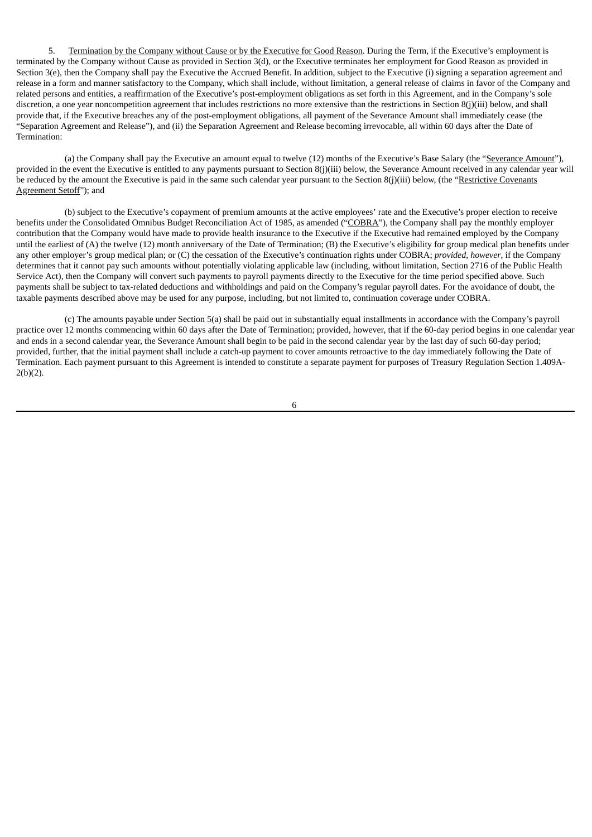5. Termination by the Company without Cause or by the Executive for Good Reason. During the Term, if the Executive's employment is terminated by the Company without Cause as provided in Section 3(d), or the Executive terminates her employment for Good Reason as provided in Section 3(e), then the Company shall pay the Executive the Accrued Benefit. In addition, subject to the Executive (i) signing a separation agreement and release in a form and manner satisfactory to the Company, which shall include, without limitation, a general release of claims in favor of the Company and related persons and entities, a reaffirmation of the Executive's post-employment obligations as set forth in this Agreement, and in the Company's sole discretion, a one year noncompetition agreement that includes restrictions no more extensive than the restrictions in Section 8(j)(iii) below, and shall provide that, if the Executive breaches any of the post-employment obligations, all payment of the Severance Amount shall immediately cease (the "Separation Agreement and Release"), and (ii) the Separation Agreement and Release becoming irrevocable, all within 60 days after the Date of Termination:

(a) the Company shall pay the Executive an amount equal to twelve (12) months of the Executive's Base Salary (the "Severance Amount"), provided in the event the Executive is entitled to any payments pursuant to Section 8(j)(iii) below, the Severance Amount received in any calendar year will be reduced by the amount the Executive is paid in the same such calendar year pursuant to the Section 8(j)(iii) below, (the "Restrictive Covenants Agreement Setoff"); and

(b) subject to the Executive's copayment of premium amounts at the active employees' rate and the Executive's proper election to receive benefits under the Consolidated Omnibus Budget Reconciliation Act of 1985, as amended ("COBRA"), the Company shall pay the monthly employer contribution that the Company would have made to provide health insurance to the Executive if the Executive had remained employed by the Company until the earliest of (A) the twelve (12) month anniversary of the Date of Termination; (B) the Executive's eligibility for group medical plan benefits under any other employer's group medical plan; or (C) the cessation of the Executive's continuation rights under COBRA; *provided*, *however*, if the Company determines that it cannot pay such amounts without potentially violating applicable law (including, without limitation, Section 2716 of the Public Health Service Act), then the Company will convert such payments to payroll payments directly to the Executive for the time period specified above. Such payments shall be subject to tax-related deductions and withholdings and paid on the Company's regular payroll dates. For the avoidance of doubt, the taxable payments described above may be used for any purpose, including, but not limited to, continuation coverage under COBRA.

(c) The amounts payable under Section 5(a) shall be paid out in substantially equal installments in accordance with the Company's payroll practice over 12 months commencing within 60 days after the Date of Termination; provided, however, that if the 60-day period begins in one calendar year and ends in a second calendar year, the Severance Amount shall begin to be paid in the second calendar year by the last day of such 60-day period; provided, further, that the initial payment shall include a catch-up payment to cover amounts retroactive to the day immediately following the Date of Termination. Each payment pursuant to this Agreement is intended to constitute a separate payment for purposes of Treasury Regulation Section 1.409A-2(b)(2).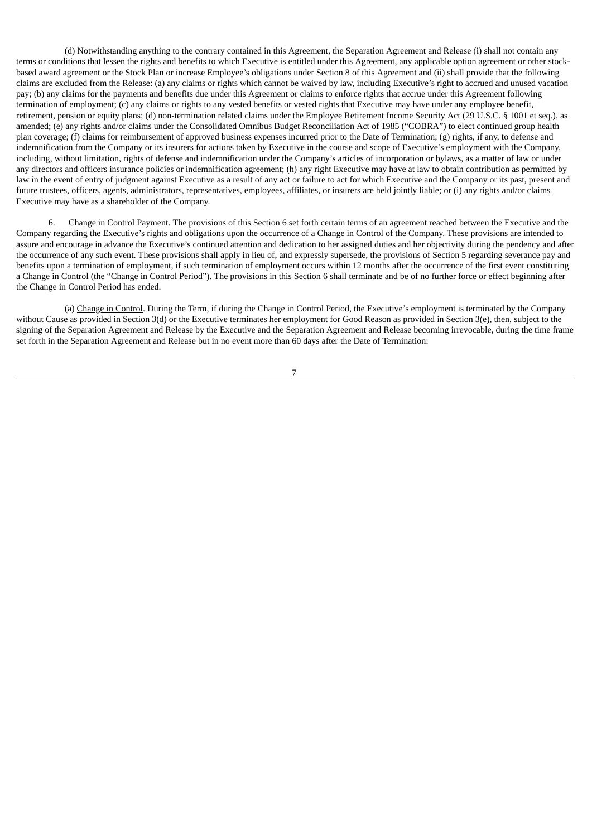(d) Notwithstanding anything to the contrary contained in this Agreement, the Separation Agreement and Release (i) shall not contain any terms or conditions that lessen the rights and benefits to which Executive is entitled under this Agreement, any applicable option agreement or other stockbased award agreement or the Stock Plan or increase Employee's obligations under Section 8 of this Agreement and (ii) shall provide that the following claims are excluded from the Release: (a) any claims or rights which cannot be waived by law, including Executive's right to accrued and unused vacation pay; (b) any claims for the payments and benefits due under this Agreement or claims to enforce rights that accrue under this Agreement following termination of employment; (c) any claims or rights to any vested benefits or vested rights that Executive may have under any employee benefit, retirement, pension or equity plans; (d) non-termination related claims under the Employee Retirement Income Security Act (29 U.S.C. § 1001 et seq.), as amended; (e) any rights and/or claims under the Consolidated Omnibus Budget Reconciliation Act of 1985 ("COBRA") to elect continued group health plan coverage; (f) claims for reimbursement of approved business expenses incurred prior to the Date of Termination; (g) rights, if any, to defense and indemnification from the Company or its insurers for actions taken by Executive in the course and scope of Executive's employment with the Company, including, without limitation, rights of defense and indemnification under the Company's articles of incorporation or bylaws, as a matter of law or under any directors and officers insurance policies or indemnification agreement; (h) any right Executive may have at law to obtain contribution as permitted by law in the event of entry of judgment against Executive as a result of any act or failure to act for which Executive and the Company or its past, present and future trustees, officers, agents, administrators, representatives, employees, affiliates, or insurers are held jointly liable; or (i) any rights and/or claims Executive may have as a shareholder of the Company.

Change in Control Payment. The provisions of this Section 6 set forth certain terms of an agreement reached between the Executive and the Company regarding the Executive's rights and obligations upon the occurrence of a Change in Control of the Company. These provisions are intended to assure and encourage in advance the Executive's continued attention and dedication to her assigned duties and her objectivity during the pendency and after the occurrence of any such event. These provisions shall apply in lieu of, and expressly supersede, the provisions of Section 5 regarding severance pay and benefits upon a termination of employment, if such termination of employment occurs within 12 months after the occurrence of the first event constituting a Change in Control (the "Change in Control Period"). The provisions in this Section 6 shall terminate and be of no further force or effect beginning after the Change in Control Period has ended.

(a) Change in Control. During the Term, if during the Change in Control Period, the Executive's employment is terminated by the Company without Cause as provided in Section 3(d) or the Executive terminates her employment for Good Reason as provided in Section 3(e), then, subject to the signing of the Separation Agreement and Release by the Executive and the Separation Agreement and Release becoming irrevocable, during the time frame set forth in the Separation Agreement and Release but in no event more than 60 days after the Date of Termination: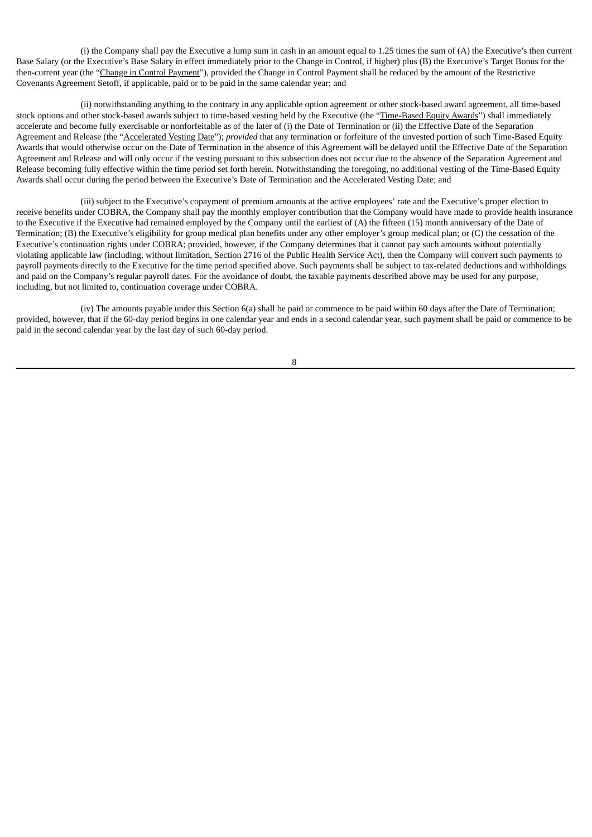(i) the Company shall pay the Executive a lump sum in cash in an amount equal to 1.25 times the sum of (A) the Executive's then current Base Salary (or the Executive's Base Salary in effect immediately prior to the Change in Control, if higher) plus (B) the Executive's Target Bonus for the then-current year (the "Change in Control Payment"), provided the Change in Control Payment shall be reduced by the amount of the Restrictive Covenants Agreement Setoff, if applicable, paid or to be paid in the same calendar year; and

(ii) notwithstanding anything to the contrary in any applicable option agreement or other stock-based award agreement, all time-based stock options and other stock-based awards subject to time-based vesting held by the Executive (the "Time-Based Equity Awards") shall immediately accelerate and become fully exercisable or nonforfeitable as of the later of (i) the Date of Termination or (ii) the Effective Date of the Separation Agreement and Release (the "Accelerated Vesting Date"); *provided* that any termination or forfeiture of the unvested portion of such Time-Based Equity Awards that would otherwise occur on the Date of Termination in the absence of this Agreement will be delayed until the Effective Date of the Separation Agreement and Release and will only occur if the vesting pursuant to this subsection does not occur due to the absence of the Separation Agreement and Release becoming fully effective within the time period set forth herein. Notwithstanding the foregoing, no additional vesting of the Time-Based Equity Awards shall occur during the period between the Executive's Date of Termination and the Accelerated Vesting Date; and

(iii) subject to the Executive's copayment of premium amounts at the active employees' rate and the Executive's proper election to receive benefits under COBRA, the Company shall pay the monthly employer contribution that the Company would have made to provide health insurance to the Executive if the Executive had remained employed by the Company until the earliest of (A) the fifteen (15) month anniversary of the Date of Termination; (B) the Executive's eligibility for group medical plan benefits under any other employer's group medical plan; or (C) the cessation of the Executive's continuation rights under COBRA; provided, however, if the Company determines that it cannot pay such amounts without potentially violating applicable law (including, without limitation, Section 2716 of the Public Health Service Act), then the Company will convert such payments to payroll payments directly to the Executive for the time period specified above. Such payments shall be subject to tax-related deductions and withholdings and paid on the Company's regular payroll dates. For the avoidance of doubt, the taxable payments described above may be used for any purpose, including, but not limited to, continuation coverage under COBRA.

(iv) The amounts payable under this Section 6(a) shall be paid or commence to be paid within 60 days after the Date of Termination; provided, however, that if the 60-day period begins in one calendar year and ends in a second calendar year, such payment shall be paid or commence to be paid in the second calendar year by the last day of such 60-day period.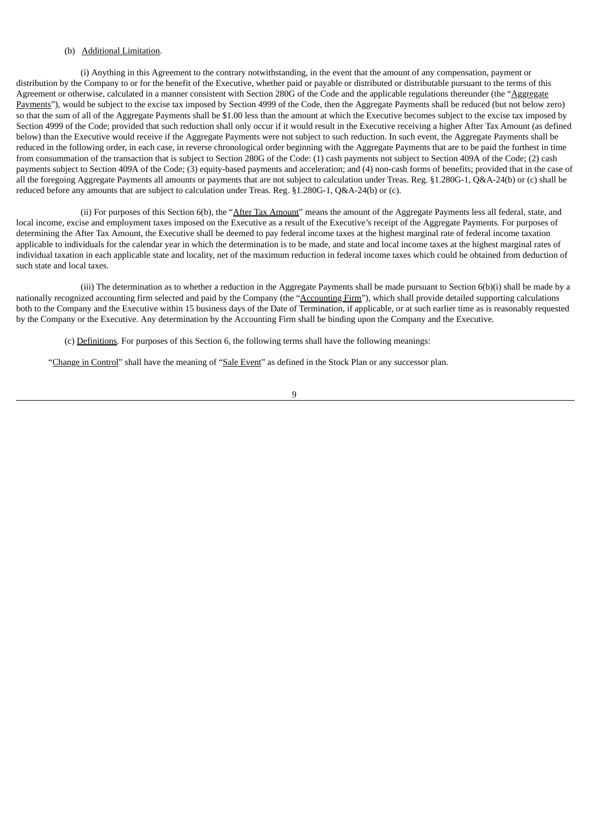#### (b) Additional Limitation.

(i) Anything in this Agreement to the contrary notwithstanding, in the event that the amount of any compensation, payment or distribution by the Company to or for the benefit of the Executive, whether paid or payable or distributed or distributable pursuant to the terms of this Agreement or otherwise, calculated in a manner consistent with Section 280G of the Code and the applicable regulations thereunder (the "Aggregate Payments"), would be subject to the excise tax imposed by Section 4999 of the Code, then the Aggregate Payments shall be reduced (but not below zero) so that the sum of all of the Aggregate Payments shall be \$1.00 less than the amount at which the Executive becomes subject to the excise tax imposed by Section 4999 of the Code; provided that such reduction shall only occur if it would result in the Executive receiving a higher After Tax Amount (as defined below) than the Executive would receive if the Aggregate Payments were not subject to such reduction. In such event, the Aggregate Payments shall be reduced in the following order, in each case, in reverse chronological order beginning with the Aggregate Payments that are to be paid the furthest in time from consummation of the transaction that is subject to Section 280G of the Code: (1) cash payments not subject to Section 409A of the Code; (2) cash payments subject to Section 409A of the Code; (3) equity-based payments and acceleration; and (4) non-cash forms of benefits; provided that in the case of all the foregoing Aggregate Payments all amounts or payments that are not subject to calculation under Treas. Reg. §1.280G-1, Q&A-24(b) or (c) shall be reduced before any amounts that are subject to calculation under Treas. Reg. §1.280G-1, Q&A-24(b) or (c).

(ii) For purposes of this Section 6(b), the "After Tax Amount" means the amount of the Aggregate Payments less all federal, state, and local income, excise and employment taxes imposed on the Executive as a result of the Executive's receipt of the Aggregate Payments. For purposes of determining the After Tax Amount, the Executive shall be deemed to pay federal income taxes at the highest marginal rate of federal income taxation applicable to individuals for the calendar year in which the determination is to be made, and state and local income taxes at the highest marginal rates of individual taxation in each applicable state and locality, net of the maximum reduction in federal income taxes which could be obtained from deduction of such state and local taxes.

(iii) The determination as to whether a reduction in the Aggregate Payments shall be made pursuant to Section 6(b)(i) shall be made by a nationally recognized accounting firm selected and paid by the Company (the "Accounting Firm"), which shall provide detailed supporting calculations both to the Company and the Executive within 15 business days of the Date of Termination, if applicable, or at such earlier time as is reasonably requested by the Company or the Executive. Any determination by the Accounting Firm shall be binding upon the Company and the Executive.

(c) Definitions. For purposes of this Section 6, the following terms shall have the following meanings:

"Change in Control" shall have the meaning of "Sale Event" as defined in the Stock Plan or any successor plan.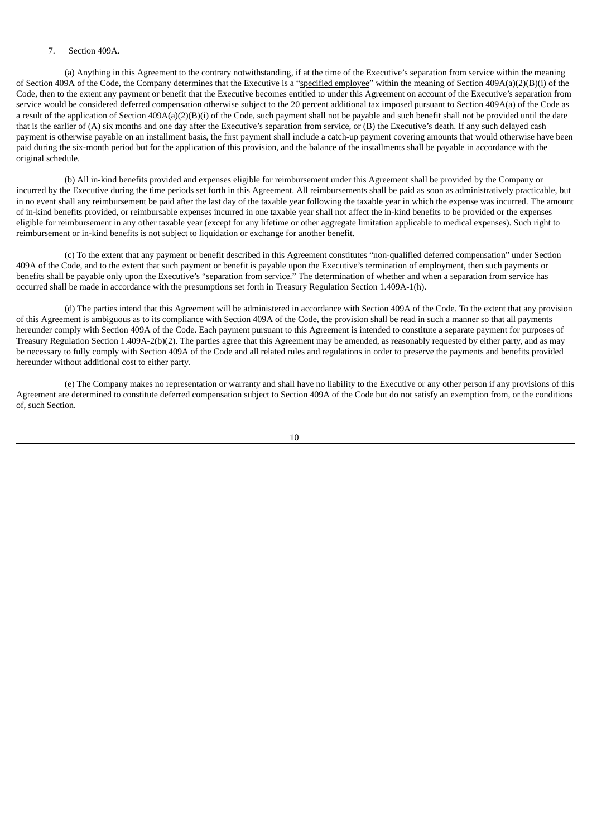#### 7. Section 409A.

(a) Anything in this Agreement to the contrary notwithstanding, if at the time of the Executive's separation from service within the meaning of Section 409A of the Code, the Company determines that the Executive is a "specified employee" within the meaning of Section 409A(a)(2)(B)(i) of the Code, then to the extent any payment or benefit that the Executive becomes entitled to under this Agreement on account of the Executive's separation from service would be considered deferred compensation otherwise subject to the 20 percent additional tax imposed pursuant to Section 409A(a) of the Code as a result of the application of Section 409A(a)(2)(B)(i) of the Code, such payment shall not be payable and such benefit shall not be provided until the date that is the earlier of (A) six months and one day after the Executive's separation from service, or (B) the Executive's death. If any such delayed cash payment is otherwise payable on an installment basis, the first payment shall include a catch-up payment covering amounts that would otherwise have been paid during the six-month period but for the application of this provision, and the balance of the installments shall be payable in accordance with the original schedule.

(b) All in-kind benefits provided and expenses eligible for reimbursement under this Agreement shall be provided by the Company or incurred by the Executive during the time periods set forth in this Agreement. All reimbursements shall be paid as soon as administratively practicable, but in no event shall any reimbursement be paid after the last day of the taxable year following the taxable year in which the expense was incurred. The amount of in-kind benefits provided, or reimbursable expenses incurred in one taxable year shall not affect the in-kind benefits to be provided or the expenses eligible for reimbursement in any other taxable year (except for any lifetime or other aggregate limitation applicable to medical expenses). Such right to reimbursement or in-kind benefits is not subject to liquidation or exchange for another benefit.

(c) To the extent that any payment or benefit described in this Agreement constitutes "non-qualified deferred compensation" under Section 409A of the Code, and to the extent that such payment or benefit is payable upon the Executive's termination of employment, then such payments or benefits shall be payable only upon the Executive's "separation from service." The determination of whether and when a separation from service has occurred shall be made in accordance with the presumptions set forth in Treasury Regulation Section 1.409A-1(h).

(d) The parties intend that this Agreement will be administered in accordance with Section 409A of the Code. To the extent that any provision of this Agreement is ambiguous as to its compliance with Section 409A of the Code, the provision shall be read in such a manner so that all payments hereunder comply with Section 409A of the Code. Each payment pursuant to this Agreement is intended to constitute a separate payment for purposes of Treasury Regulation Section 1.409A-2(b)(2). The parties agree that this Agreement may be amended, as reasonably requested by either party, and as may be necessary to fully comply with Section 409A of the Code and all related rules and regulations in order to preserve the payments and benefits provided hereunder without additional cost to either party.

(e) The Company makes no representation or warranty and shall have no liability to the Executive or any other person if any provisions of this Agreement are determined to constitute deferred compensation subject to Section 409A of the Code but do not satisfy an exemption from, or the conditions of, such Section.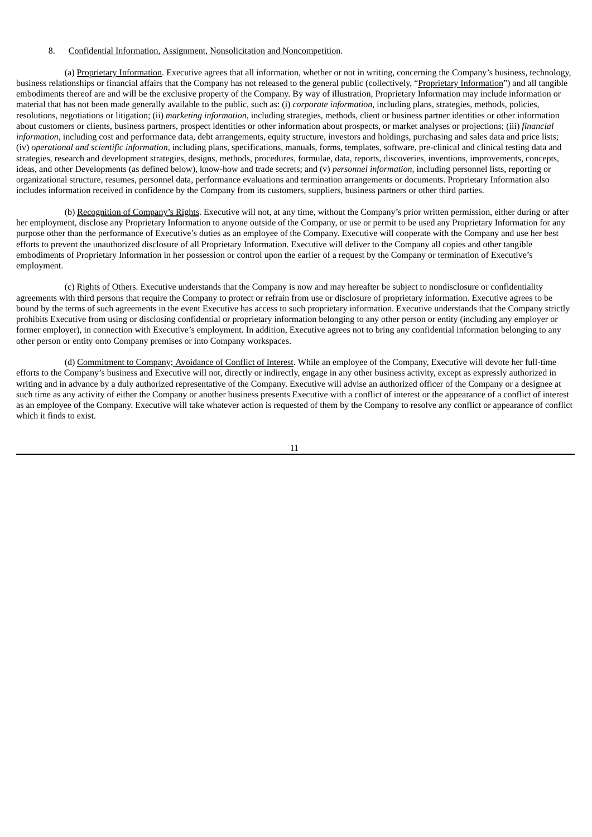#### 8. Confidential Information, Assignment, Nonsolicitation and Noncompetition.

(a) Proprietary Information. Executive agrees that all information, whether or not in writing, concerning the Company's business, technology, business relationships or financial affairs that the Company has not released to the general public (collectively, "Proprietary Information") and all tangible embodiments thereof are and will be the exclusive property of the Company. By way of illustration, Proprietary Information may include information or material that has not been made generally available to the public, such as: (i) *corporate information*, including plans, strategies, methods, policies, resolutions, negotiations or litigation; (ii) *marketing information*, including strategies, methods, client or business partner identities or other information about customers or clients, business partners, prospect identities or other information about prospects, or market analyses or projections; (iii) *financial information*, including cost and performance data, debt arrangements, equity structure, investors and holdings, purchasing and sales data and price lists; (iv) *operational and scientific information*, including plans, specifications, manuals, forms, templates, software, pre-clinical and clinical testing data and strategies, research and development strategies, designs, methods, procedures, formulae, data, reports, discoveries, inventions, improvements, concepts, ideas, and other Developments (as defined below), know-how and trade secrets; and (v) *personnel information*, including personnel lists, reporting or organizational structure, resumes, personnel data, performance evaluations and termination arrangements or documents. Proprietary Information also includes information received in confidence by the Company from its customers, suppliers, business partners or other third parties.

(b) Recognition of Company's Rights. Executive will not, at any time, without the Company's prior written permission, either during or after her employment, disclose any Proprietary Information to anyone outside of the Company, or use or permit to be used any Proprietary Information for any purpose other than the performance of Executive's duties as an employee of the Company. Executive will cooperate with the Company and use her best efforts to prevent the unauthorized disclosure of all Proprietary Information. Executive will deliver to the Company all copies and other tangible embodiments of Proprietary Information in her possession or control upon the earlier of a request by the Company or termination of Executive's employment.

(c) Rights of Others. Executive understands that the Company is now and may hereafter be subject to nondisclosure or confidentiality agreements with third persons that require the Company to protect or refrain from use or disclosure of proprietary information. Executive agrees to be bound by the terms of such agreements in the event Executive has access to such proprietary information. Executive understands that the Company strictly prohibits Executive from using or disclosing confidential or proprietary information belonging to any other person or entity (including any employer or former employer), in connection with Executive's employment. In addition, Executive agrees not to bring any confidential information belonging to any other person or entity onto Company premises or into Company workspaces.

(d) Commitment to Company; Avoidance of Conflict of Interest. While an employee of the Company, Executive will devote her full-time efforts to the Company's business and Executive will not, directly or indirectly, engage in any other business activity, except as expressly authorized in writing and in advance by a duly authorized representative of the Company. Executive will advise an authorized officer of the Company or a designee at such time as any activity of either the Company or another business presents Executive with a conflict of interest or the appearance of a conflict of interest as an employee of the Company. Executive will take whatever action is requested of them by the Company to resolve any conflict or appearance of conflict which it finds to exist.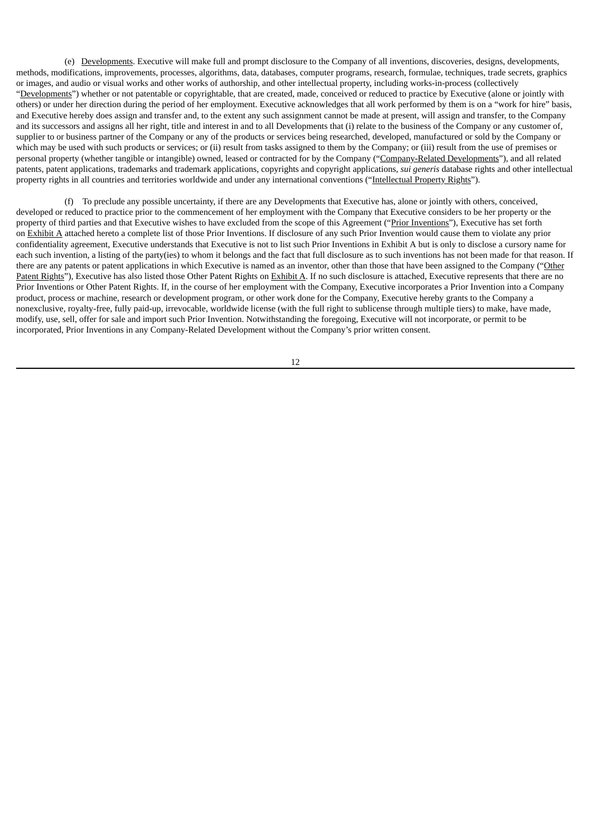(e) Developments. Executive will make full and prompt disclosure to the Company of all inventions, discoveries, designs, developments, methods, modifications, improvements, processes, algorithms, data, databases, computer programs, research, formulae, techniques, trade secrets, graphics or images, and audio or visual works and other works of authorship, and other intellectual property, including works-in-process (collectively "Developments") whether or not patentable or copyrightable, that are created, made, conceived or reduced to practice by Executive (alone or jointly with others) or under her direction during the period of her employment. Executive acknowledges that all work performed by them is on a "work for hire" basis, and Executive hereby does assign and transfer and, to the extent any such assignment cannot be made at present, will assign and transfer, to the Company and its successors and assigns all her right, title and interest in and to all Developments that (i) relate to the business of the Company or any customer of, supplier to or business partner of the Company or any of the products or services being researched, developed, manufactured or sold by the Company or which may be used with such products or services; or (ii) result from tasks assigned to them by the Company; or (iii) result from the use of premises or personal property (whether tangible or intangible) owned, leased or contracted for by the Company ("Company-Related Developments"), and all related patents, patent applications, trademarks and trademark applications, copyrights and copyright applications, *sui generis* database rights and other intellectual property rights in all countries and territories worldwide and under any international conventions ("Intellectual Property Rights").

(f) To preclude any possible uncertainty, if there are any Developments that Executive has, alone or jointly with others, conceived, developed or reduced to practice prior to the commencement of her employment with the Company that Executive considers to be her property or the property of third parties and that Executive wishes to have excluded from the scope of this Agreement ("Prior Inventions"), Executive has set forth on Exhibit A attached hereto a complete list of those Prior Inventions. If disclosure of any such Prior Invention would cause them to violate any prior confidentiality agreement, Executive understands that Executive is not to list such Prior Inventions in Exhibit A but is only to disclose a cursory name for each such invention, a listing of the party(ies) to whom it belongs and the fact that full disclosure as to such inventions has not been made for that reason. If there are any patents or patent applications in which Executive is named as an inventor, other than those that have been assigned to the Company ("Other Patent Rights"), Executive has also listed those Other Patent Rights on Exhibit A. If no such disclosure is attached, Executive represents that there are no Prior Inventions or Other Patent Rights. If, in the course of her employment with the Company, Executive incorporates a Prior Invention into a Company product, process or machine, research or development program, or other work done for the Company, Executive hereby grants to the Company a nonexclusive, royalty-free, fully paid-up, irrevocable, worldwide license (with the full right to sublicense through multiple tiers) to make, have made, modify, use, sell, offer for sale and import such Prior Invention. Notwithstanding the foregoing, Executive will not incorporate, or permit to be incorporated, Prior Inventions in any Company-Related Development without the Company's prior written consent.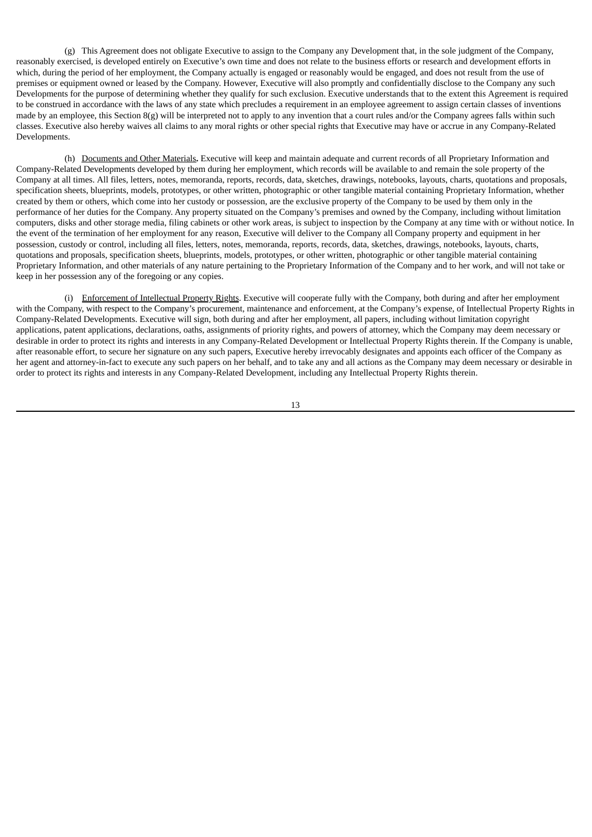(g) This Agreement does not obligate Executive to assign to the Company any Development that, in the sole judgment of the Company, reasonably exercised, is developed entirely on Executive's own time and does not relate to the business efforts or research and development efforts in which, during the period of her employment, the Company actually is engaged or reasonably would be engaged, and does not result from the use of premises or equipment owned or leased by the Company. However, Executive will also promptly and confidentially disclose to the Company any such Developments for the purpose of determining whether they qualify for such exclusion. Executive understands that to the extent this Agreement is required to be construed in accordance with the laws of any state which precludes a requirement in an employee agreement to assign certain classes of inventions made by an employee, this Section  $8(g)$  will be interpreted not to apply to any invention that a court rules and/or the Company agrees falls within such classes. Executive also hereby waives all claims to any moral rights or other special rights that Executive may have or accrue in any Company-Related Developments.

(h) Documents and Other Materials**.** Executive will keep and maintain adequate and current records of all Proprietary Information and Company-Related Developments developed by them during her employment, which records will be available to and remain the sole property of the Company at all times. All files, letters, notes, memoranda, reports, records, data, sketches, drawings, notebooks, layouts, charts, quotations and proposals, specification sheets, blueprints, models, prototypes, or other written, photographic or other tangible material containing Proprietary Information, whether created by them or others, which come into her custody or possession, are the exclusive property of the Company to be used by them only in the performance of her duties for the Company. Any property situated on the Company's premises and owned by the Company, including without limitation computers, disks and other storage media, filing cabinets or other work areas, is subject to inspection by the Company at any time with or without notice. In the event of the termination of her employment for any reason, Executive will deliver to the Company all Company property and equipment in her possession, custody or control, including all files, letters, notes, memoranda, reports, records, data, sketches, drawings, notebooks, layouts, charts, quotations and proposals, specification sheets, blueprints, models, prototypes, or other written, photographic or other tangible material containing Proprietary Information, and other materials of any nature pertaining to the Proprietary Information of the Company and to her work, and will not take or keep in her possession any of the foregoing or any copies.

(i) Enforcement of Intellectual Property Rights. Executive will cooperate fully with the Company, both during and after her employment with the Company, with respect to the Company's procurement, maintenance and enforcement, at the Company's expense, of Intellectual Property Rights in Company-Related Developments. Executive will sign, both during and after her employment, all papers, including without limitation copyright applications, patent applications, declarations, oaths, assignments of priority rights, and powers of attorney, which the Company may deem necessary or desirable in order to protect its rights and interests in any Company-Related Development or Intellectual Property Rights therein. If the Company is unable, after reasonable effort, to secure her signature on any such papers, Executive hereby irrevocably designates and appoints each officer of the Company as her agent and attorney-in-fact to execute any such papers on her behalf, and to take any and all actions as the Company may deem necessary or desirable in order to protect its rights and interests in any Company-Related Development, including any Intellectual Property Rights therein.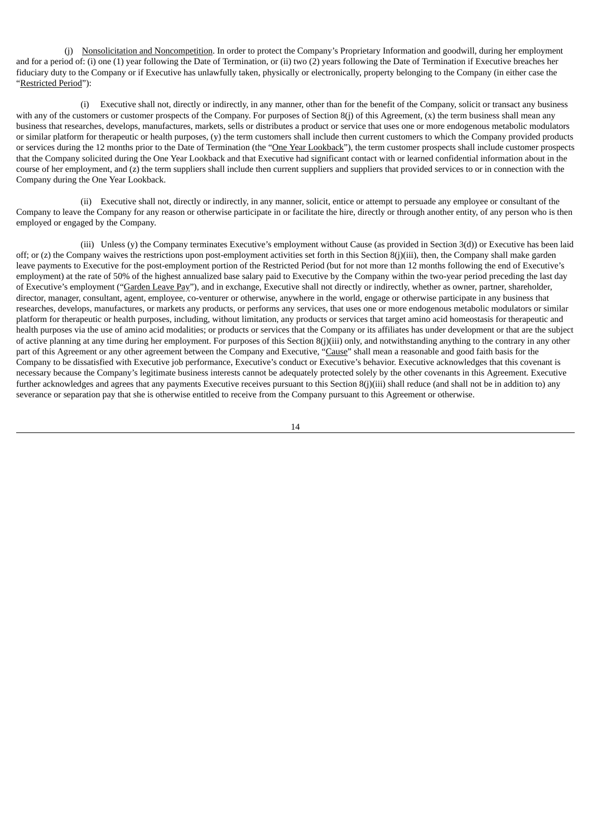(j) Nonsolicitation and Noncompetition. In order to protect the Company's Proprietary Information and goodwill, during her employment and for a period of: (i) one (1) year following the Date of Termination, or (ii) two (2) years following the Date of Termination if Executive breaches her fiduciary duty to the Company or if Executive has unlawfully taken, physically or electronically, property belonging to the Company (in either case the "Restricted Period"):

(i) Executive shall not, directly or indirectly, in any manner, other than for the benefit of the Company, solicit or transact any business with any of the customers or customer prospects of the Company. For purposes of Section 8(j) of this Agreement, (x) the term business shall mean any business that researches, develops, manufactures, markets, sells or distributes a product or service that uses one or more endogenous metabolic modulators or similar platform for therapeutic or health purposes, (y) the term customers shall include then current customers to which the Company provided products or services during the 12 months prior to the Date of Termination (the "One Year Lookback"), the term customer prospects shall include customer prospects that the Company solicited during the One Year Lookback and that Executive had significant contact with or learned confidential information about in the course of her employment, and (z) the term suppliers shall include then current suppliers and suppliers that provided services to or in connection with the Company during the One Year Lookback.

(ii) Executive shall not, directly or indirectly, in any manner, solicit, entice or attempt to persuade any employee or consultant of the Company to leave the Company for any reason or otherwise participate in or facilitate the hire, directly or through another entity, of any person who is then employed or engaged by the Company.

(iii) Unless (y) the Company terminates Executive's employment without Cause (as provided in Section 3(d)) or Executive has been laid off; or (z) the Company waives the restrictions upon post-employment activities set forth in this Section 8(j)(iii), then, the Company shall make garden leave payments to Executive for the post-employment portion of the Restricted Period (but for not more than 12 months following the end of Executive's employment) at the rate of 50% of the highest annualized base salary paid to Executive by the Company within the two-year period preceding the last day of Executive's employment ("Garden Leave Pay"), and in exchange, Executive shall not directly or indirectly, whether as owner, partner, shareholder, director, manager, consultant, agent, employee, co-venturer or otherwise, anywhere in the world, engage or otherwise participate in any business that researches, develops, manufactures, or markets any products, or performs any services, that uses one or more endogenous metabolic modulators or similar platform for therapeutic or health purposes, including, without limitation, any products or services that target amino acid homeostasis for therapeutic and health purposes via the use of amino acid modalities; or products or services that the Company or its affiliates has under development or that are the subject of active planning at any time during her employment. For purposes of this Section 8(j)(iii) only, and notwithstanding anything to the contrary in any other part of this Agreement or any other agreement between the Company and Executive, "Cause" shall mean a reasonable and good faith basis for the Company to be dissatisfied with Executive job performance, Executive's conduct or Executive's behavior. Executive acknowledges that this covenant is necessary because the Company's legitimate business interests cannot be adequately protected solely by the other covenants in this Agreement. Executive further acknowledges and agrees that any payments Executive receives pursuant to this Section 8(j)(iii) shall reduce (and shall not be in addition to) any severance or separation pay that she is otherwise entitled to receive from the Company pursuant to this Agreement or otherwise.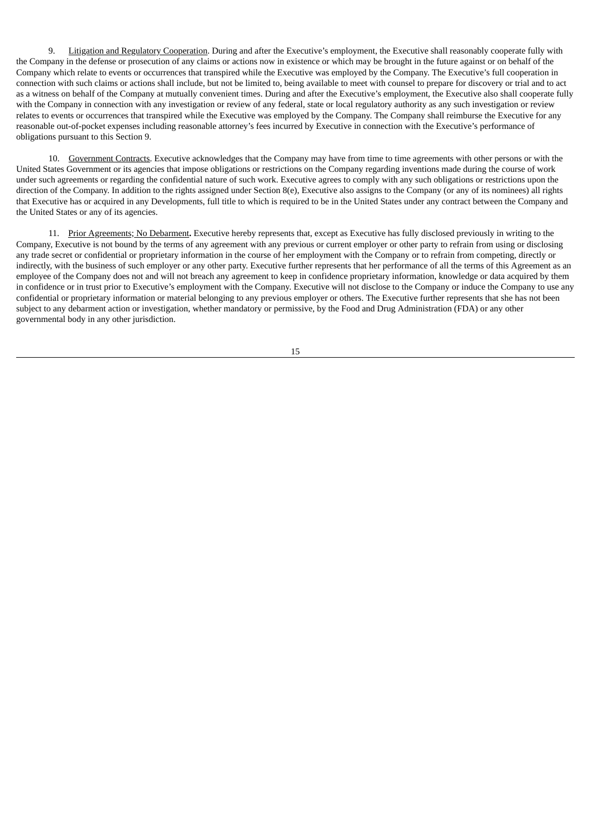9. Litigation and Regulatory Cooperation. During and after the Executive's employment, the Executive shall reasonably cooperate fully with the Company in the defense or prosecution of any claims or actions now in existence or which may be brought in the future against or on behalf of the Company which relate to events or occurrences that transpired while the Executive was employed by the Company. The Executive's full cooperation in connection with such claims or actions shall include, but not be limited to, being available to meet with counsel to prepare for discovery or trial and to act as a witness on behalf of the Company at mutually convenient times. During and after the Executive's employment, the Executive also shall cooperate fully with the Company in connection with any investigation or review of any federal, state or local regulatory authority as any such investigation or review relates to events or occurrences that transpired while the Executive was employed by the Company. The Company shall reimburse the Executive for any reasonable out-of-pocket expenses including reasonable attorney's fees incurred by Executive in connection with the Executive's performance of obligations pursuant to this Section 9.

10. Government Contracts. Executive acknowledges that the Company may have from time to time agreements with other persons or with the United States Government or its agencies that impose obligations or restrictions on the Company regarding inventions made during the course of work under such agreements or regarding the confidential nature of such work. Executive agrees to comply with any such obligations or restrictions upon the direction of the Company. In addition to the rights assigned under Section 8(e), Executive also assigns to the Company (or any of its nominees) all rights that Executive has or acquired in any Developments, full title to which is required to be in the United States under any contract between the Company and the United States or any of its agencies.

11. Prior Agreements; No Debarment**.** Executive hereby represents that, except as Executive has fully disclosed previously in writing to the Company, Executive is not bound by the terms of any agreement with any previous or current employer or other party to refrain from using or disclosing any trade secret or confidential or proprietary information in the course of her employment with the Company or to refrain from competing, directly or indirectly, with the business of such employer or any other party. Executive further represents that her performance of all the terms of this Agreement as an employee of the Company does not and will not breach any agreement to keep in confidence proprietary information, knowledge or data acquired by them in confidence or in trust prior to Executive's employment with the Company. Executive will not disclose to the Company or induce the Company to use any confidential or proprietary information or material belonging to any previous employer or others. The Executive further represents that she has not been subject to any debarment action or investigation, whether mandatory or permissive, by the Food and Drug Administration (FDA) or any other governmental body in any other jurisdiction.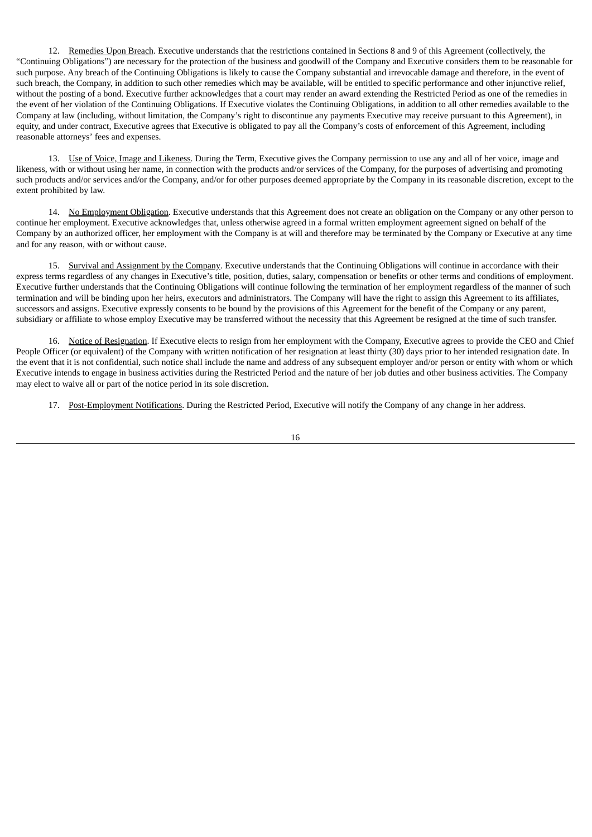12. Remedies Upon Breach. Executive understands that the restrictions contained in Sections 8 and 9 of this Agreement (collectively, the "Continuing Obligations") are necessary for the protection of the business and goodwill of the Company and Executive considers them to be reasonable for such purpose. Any breach of the Continuing Obligations is likely to cause the Company substantial and irrevocable damage and therefore, in the event of such breach, the Company, in addition to such other remedies which may be available, will be entitled to specific performance and other injunctive relief, without the posting of a bond. Executive further acknowledges that a court may render an award extending the Restricted Period as one of the remedies in the event of her violation of the Continuing Obligations. If Executive violates the Continuing Obligations, in addition to all other remedies available to the Company at law (including, without limitation, the Company's right to discontinue any payments Executive may receive pursuant to this Agreement), in equity, and under contract, Executive agrees that Executive is obligated to pay all the Company's costs of enforcement of this Agreement, including reasonable attorneys' fees and expenses.

13. Use of Voice, Image and Likeness. During the Term, Executive gives the Company permission to use any and all of her voice, image and likeness, with or without using her name, in connection with the products and/or services of the Company, for the purposes of advertising and promoting such products and/or services and/or the Company, and/or for other purposes deemed appropriate by the Company in its reasonable discretion, except to the extent prohibited by law.

14. No Employment Obligation. Executive understands that this Agreement does not create an obligation on the Company or any other person to continue her employment. Executive acknowledges that, unless otherwise agreed in a formal written employment agreement signed on behalf of the Company by an authorized officer, her employment with the Company is at will and therefore may be terminated by the Company or Executive at any time and for any reason, with or without cause.

15. Survival and Assignment by the Company. Executive understands that the Continuing Obligations will continue in accordance with their express terms regardless of any changes in Executive's title, position, duties, salary, compensation or benefits or other terms and conditions of employment. Executive further understands that the Continuing Obligations will continue following the termination of her employment regardless of the manner of such termination and will be binding upon her heirs, executors and administrators. The Company will have the right to assign this Agreement to its affiliates, successors and assigns. Executive expressly consents to be bound by the provisions of this Agreement for the benefit of the Company or any parent, subsidiary or affiliate to whose employ Executive may be transferred without the necessity that this Agreement be resigned at the time of such transfer.

16. Notice of Resignation. If Executive elects to resign from her employment with the Company, Executive agrees to provide the CEO and Chief People Officer (or equivalent) of the Company with written notification of her resignation at least thirty (30) days prior to her intended resignation date. In the event that it is not confidential, such notice shall include the name and address of any subsequent employer and/or person or entity with whom or which Executive intends to engage in business activities during the Restricted Period and the nature of her job duties and other business activities. The Company may elect to waive all or part of the notice period in its sole discretion.

17. Post-Employment Notifications. During the Restricted Period, Executive will notify the Company of any change in her address.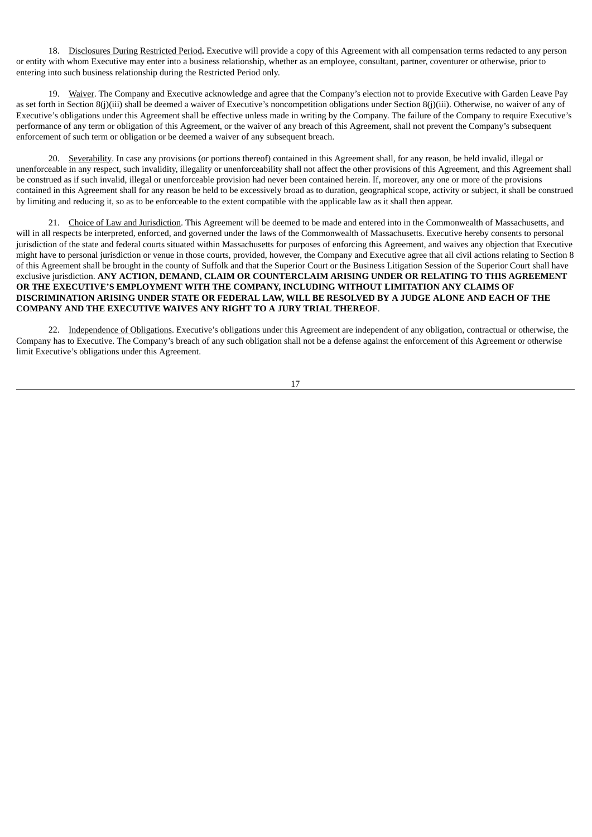18. Disclosures During Restricted Period**.** Executive will provide a copy of this Agreement with all compensation terms redacted to any person or entity with whom Executive may enter into a business relationship, whether as an employee, consultant, partner, coventurer or otherwise, prior to entering into such business relationship during the Restricted Period only.

19. Waiver. The Company and Executive acknowledge and agree that the Company's election not to provide Executive with Garden Leave Pay as set forth in Section 8(j)(iii) shall be deemed a waiver of Executive's noncompetition obligations under Section 8(j)(iii). Otherwise, no waiver of any of Executive's obligations under this Agreement shall be effective unless made in writing by the Company. The failure of the Company to require Executive's performance of any term or obligation of this Agreement, or the waiver of any breach of this Agreement, shall not prevent the Company's subsequent enforcement of such term or obligation or be deemed a waiver of any subsequent breach.

20. Severability. In case any provisions (or portions thereof) contained in this Agreement shall, for any reason, be held invalid, illegal or unenforceable in any respect, such invalidity, illegality or unenforceability shall not affect the other provisions of this Agreement, and this Agreement shall be construed as if such invalid, illegal or unenforceable provision had never been contained herein. If, moreover, any one or more of the provisions contained in this Agreement shall for any reason be held to be excessively broad as to duration, geographical scope, activity or subject, it shall be construed by limiting and reducing it, so as to be enforceable to the extent compatible with the applicable law as it shall then appear.

21. Choice of Law and Jurisdiction. This Agreement will be deemed to be made and entered into in the Commonwealth of Massachusetts, and will in all respects be interpreted, enforced, and governed under the laws of the Commonwealth of Massachusetts. Executive hereby consents to personal jurisdiction of the state and federal courts situated within Massachusetts for purposes of enforcing this Agreement, and waives any objection that Executive might have to personal jurisdiction or venue in those courts, provided, however, the Company and Executive agree that all civil actions relating to Section 8 of this Agreement shall be brought in the county of Suffolk and that the Superior Court or the Business Litigation Session of the Superior Court shall have exclusive jurisdiction. **ANY ACTION, DEMAND, CLAIM OR COUNTERCLAIM ARISING UNDER OR RELATING TO THIS AGREEMENT OR THE EXECUTIVE'S EMPLOYMENT WITH THE COMPANY, INCLUDING WITHOUT LIMITATION ANY CLAIMS OF** DISCRIMINATION ARISING UNDER STATE OR FEDERAL LAW, WILL BE RESOLVED BY A JUDGE ALONE AND EACH OF THE **COMPANY AND THE EXECUTIVE WAIVES ANY RIGHT TO A JURY TRIAL THEREOF**.

22. Independence of Obligations. Executive's obligations under this Agreement are independent of any obligation, contractual or otherwise, the Company has to Executive. The Company's breach of any such obligation shall not be a defense against the enforcement of this Agreement or otherwise limit Executive's obligations under this Agreement.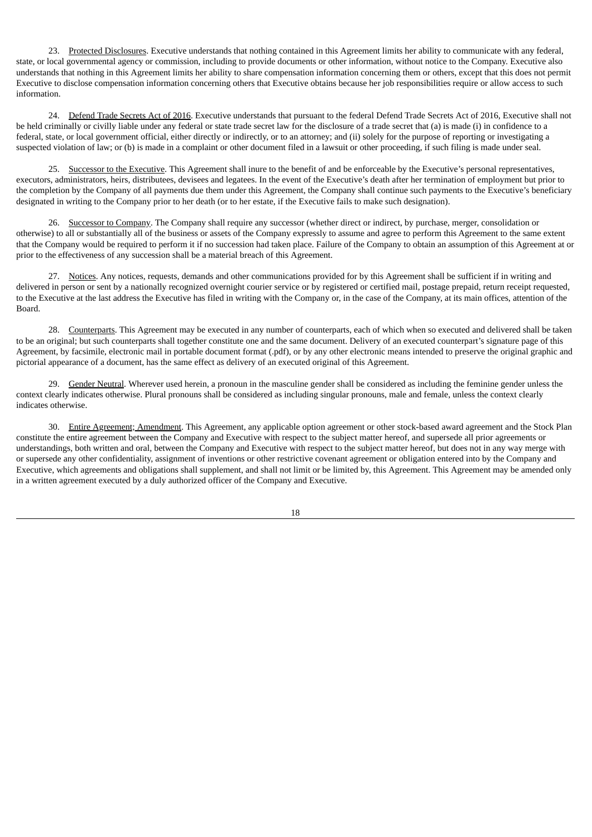23. Protected Disclosures. Executive understands that nothing contained in this Agreement limits her ability to communicate with any federal, state, or local governmental agency or commission, including to provide documents or other information, without notice to the Company. Executive also understands that nothing in this Agreement limits her ability to share compensation information concerning them or others, except that this does not permit Executive to disclose compensation information concerning others that Executive obtains because her job responsibilities require or allow access to such information.

24. Defend Trade Secrets Act of 2016. Executive understands that pursuant to the federal Defend Trade Secrets Act of 2016, Executive shall not be held criminally or civilly liable under any federal or state trade secret law for the disclosure of a trade secret that (a) is made (i) in confidence to a federal, state, or local government official, either directly or indirectly, or to an attorney; and (ii) solely for the purpose of reporting or investigating a suspected violation of law; or (b) is made in a complaint or other document filed in a lawsuit or other proceeding, if such filing is made under seal.

25. Successor to the Executive. This Agreement shall inure to the benefit of and be enforceable by the Executive's personal representatives, executors, administrators, heirs, distributees, devisees and legatees. In the event of the Executive's death after her termination of employment but prior to the completion by the Company of all payments due them under this Agreement, the Company shall continue such payments to the Executive's beneficiary designated in writing to the Company prior to her death (or to her estate, if the Executive fails to make such designation).

26. Successor to Company. The Company shall require any successor (whether direct or indirect, by purchase, merger, consolidation or otherwise) to all or substantially all of the business or assets of the Company expressly to assume and agree to perform this Agreement to the same extent that the Company would be required to perform it if no succession had taken place. Failure of the Company to obtain an assumption of this Agreement at or prior to the effectiveness of any succession shall be a material breach of this Agreement.

27. Notices. Any notices, requests, demands and other communications provided for by this Agreement shall be sufficient if in writing and delivered in person or sent by a nationally recognized overnight courier service or by registered or certified mail, postage prepaid, return receipt requested, to the Executive at the last address the Executive has filed in writing with the Company or, in the case of the Company, at its main offices, attention of the Board.

28. Counterparts. This Agreement may be executed in any number of counterparts, each of which when so executed and delivered shall be taken to be an original; but such counterparts shall together constitute one and the same document. Delivery of an executed counterpart's signature page of this Agreement, by facsimile, electronic mail in portable document format (.pdf), or by any other electronic means intended to preserve the original graphic and pictorial appearance of a document, has the same effect as delivery of an executed original of this Agreement.

29. Gender Neutral. Wherever used herein, a pronoun in the masculine gender shall be considered as including the feminine gender unless the context clearly indicates otherwise. Plural pronouns shall be considered as including singular pronouns, male and female, unless the context clearly indicates otherwise.

30. Entire Agreement; Amendment. This Agreement, any applicable option agreement or other stock-based award agreement and the Stock Plan constitute the entire agreement between the Company and Executive with respect to the subject matter hereof, and supersede all prior agreements or understandings, both written and oral, between the Company and Executive with respect to the subject matter hereof, but does not in any way merge with or supersede any other confidentiality, assignment of inventions or other restrictive covenant agreement or obligation entered into by the Company and Executive, which agreements and obligations shall supplement, and shall not limit or be limited by, this Agreement. This Agreement may be amended only in a written agreement executed by a duly authorized officer of the Company and Executive.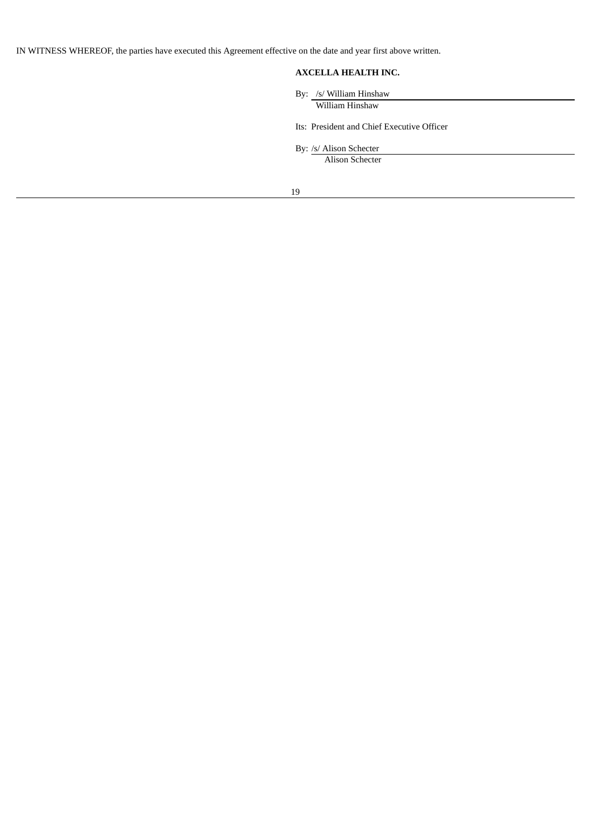IN WITNESS WHEREOF, the parties have executed this Agreement effective on the date and year first above written.

# **AXCELLA HEALTH INC.**

By: /s/ William Hinshaw

William Hinshaw

Its: President and Chief Executive Officer

By: /s/ Alison Schecter

Alison Schecter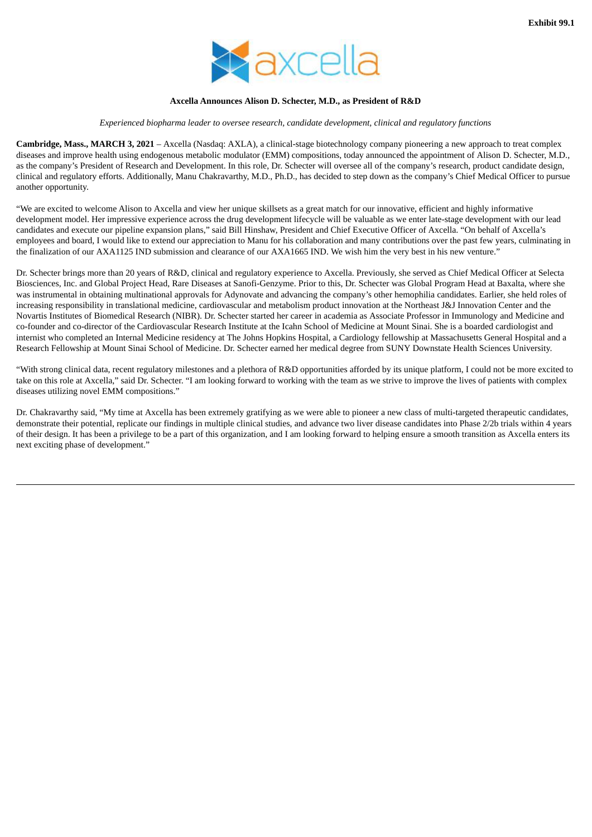

## **Axcella Announces Alison D. Schecter, M.D., as President of R&D**

#### *Experienced biopharma leader to oversee research, candidate development, clinical and regulatory functions*

<span id="page-22-0"></span>**Cambridge, Mass., MARCH 3, 2021** – Axcella (Nasdaq: AXLA), a clinical-stage biotechnology company pioneering a new approach to treat complex diseases and improve health using endogenous metabolic modulator (EMM) compositions, today announced the appointment of Alison D. Schecter, M.D., as the company's President of Research and Development. In this role, Dr. Schecter will oversee all of the company's research, product candidate design, clinical and regulatory efforts. Additionally, Manu Chakravarthy, M.D., Ph.D., has decided to step down as the company's Chief Medical Officer to pursue another opportunity.

"We are excited to welcome Alison to Axcella and view her unique skillsets as a great match for our innovative, efficient and highly informative development model. Her impressive experience across the drug development lifecycle will be valuable as we enter late-stage development with our lead candidates and execute our pipeline expansion plans," said Bill Hinshaw, President and Chief Executive Officer of Axcella. "On behalf of Axcella's employees and board, I would like to extend our appreciation to Manu for his collaboration and many contributions over the past few years, culminating in the finalization of our AXA1125 IND submission and clearance of our AXA1665 IND. We wish him the very best in his new venture."

Dr. Schecter brings more than 20 years of R&D, clinical and regulatory experience to Axcella. Previously, she served as Chief Medical Officer at Selecta Biosciences, Inc. and Global Project Head, Rare Diseases at Sanofi-Genzyme. Prior to this, Dr. Schecter was Global Program Head at Baxalta, where she was instrumental in obtaining multinational approvals for Adynovate and advancing the company's other hemophilia candidates. Earlier, she held roles of increasing responsibility in translational medicine, cardiovascular and metabolism product innovation at the Northeast J&J Innovation Center and the Novartis Institutes of Biomedical Research (NIBR). Dr. Schecter started her career in academia as Associate Professor in Immunology and Medicine and co-founder and co-director of the Cardiovascular Research Institute at the Icahn School of Medicine at Mount Sinai. She is a boarded cardiologist and internist who completed an Internal Medicine residency at The Johns Hopkins Hospital, a Cardiology fellowship at Massachusetts General Hospital and a Research Fellowship at Mount Sinai School of Medicine. Dr. Schecter earned her medical degree from SUNY Downstate Health Sciences University.

"With strong clinical data, recent regulatory milestones and a plethora of R&D opportunities afforded by its unique platform, I could not be more excited to take on this role at Axcella," said Dr. Schecter. "I am looking forward to working with the team as we strive to improve the lives of patients with complex diseases utilizing novel EMM compositions."

Dr. Chakravarthy said, "My time at Axcella has been extremely gratifying as we were able to pioneer a new class of multi-targeted therapeutic candidates, demonstrate their potential, replicate our findings in multiple clinical studies, and advance two liver disease candidates into Phase 2/2b trials within 4 years of their design. It has been a privilege to be a part of this organization, and I am looking forward to helping ensure a smooth transition as Axcella enters its next exciting phase of development."